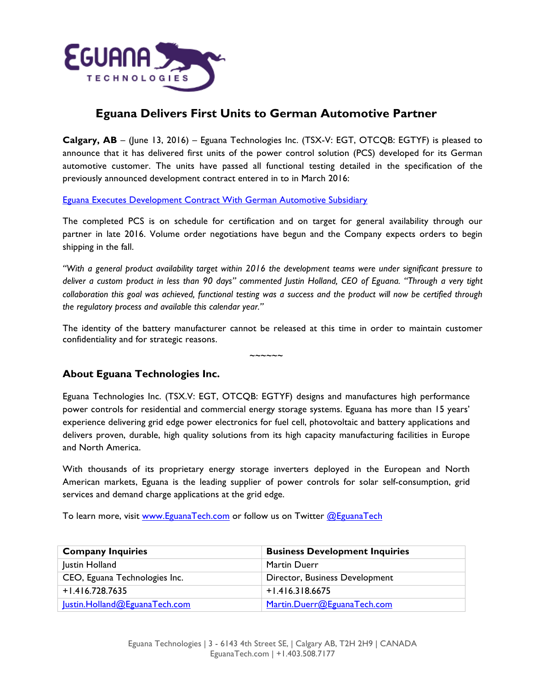

## **Eguana Delivers First Units to German Automotive Partner**

**Calgary, AB** – (June 13, 2016) – Eguana Technologies Inc. (TSX-V: EGT, OTCQB: EGTYF) is pleased to announce that it has delivered first units of the power control solution (PCS) developed for its German automotive customer. The units have passed all functional testing detailed in the specification of the previously announced development contract entered in to in March 2016:

Eguana Executes Development Contract With German Automotive Subsidiary

The completed PCS is on schedule for certification and on target for general availability through our partner in late 2016. Volume order negotiations have begun and the Company expects orders to begin shipping in the fall.

*"With a general product availability target within 2016 the development teams were under significant pressure to deliver a custom product in less than 90 days" commented Justin Holland, CEO of Eguana. "Through a very tight collaboration this goal was achieved, functional testing was a success and the product will now be certified through the regulatory process and available this calendar year."* 

The identity of the battery manufacturer cannot be released at this time in order to maintain customer confidentiality and for strategic reasons.

 $\sim$  $\sim$  $\sim$  $\sim$  $\sim$ 

**About Eguana Technologies Inc.**

Eguana Technologies Inc. (TSX.V: EGT, OTCQB: EGTYF) designs and manufactures high performance power controls for residential and commercial energy storage systems. Eguana has more than 15 years' experience delivering grid edge power electronics for fuel cell, photovoltaic and battery applications and delivers proven, durable, high quality solutions from its high capacity manufacturing facilities in Europe and North America.

With thousands of its proprietary energy storage inverters deployed in the European and North American markets, Eguana is the leading supplier of power controls for solar self-consumption, grid services and demand charge applications at the grid edge.

To learn more, visit www.EguanaTech.com or follow us on Twitter @EguanaTech

| <b>Company Inquiries</b>      | <b>Business Development Inquiries</b> |
|-------------------------------|---------------------------------------|
| Justin Holland                | <b>Martin Duerr</b>                   |
| CEO, Eguana Technologies Inc. | Director, Business Development        |
| $+1.416.728.7635$             | $+1.416.318.6675$                     |
| Justin.Holland@EguanaTech.com | Martin.Duerr@EguanaTech.com           |